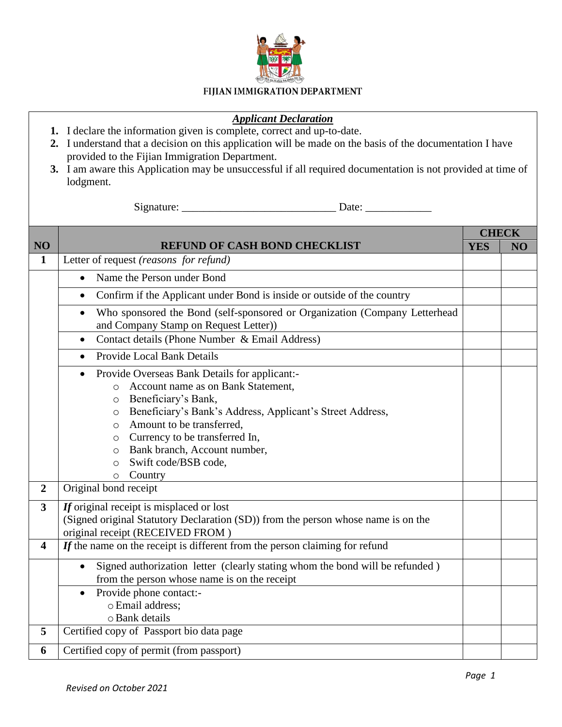

## FIJIAN IMMIGRATION DEPARTMENT

## *Applicant Declaration*

- **1.** I declare the information given is complete, correct and up-to-date.
- **2.** I understand that a decision on this application will be made on the basis of the documentation I have provided to the Fijian Immigration Department.
- **3.** I am aware this Application may be unsuccessful if all required documentation is not provided at time of lodgment.

Signature: \_\_\_\_\_\_\_\_\_\_\_\_\_\_\_\_\_\_\_\_\_\_\_\_\_\_\_\_ Date: \_\_\_\_\_\_\_\_\_\_\_\_

|                         |                                                                                                                                                                                                                                                                                                                                                                                          | <b>CHECK</b> |    |
|-------------------------|------------------------------------------------------------------------------------------------------------------------------------------------------------------------------------------------------------------------------------------------------------------------------------------------------------------------------------------------------------------------------------------|--------------|----|
| NO <sub>1</sub>         | <b>REFUND OF CASH BOND CHECKLIST</b>                                                                                                                                                                                                                                                                                                                                                     | <b>YES</b>   | NO |
| $\mathbf{1}$            | Letter of request (reasons for refund)                                                                                                                                                                                                                                                                                                                                                   |              |    |
|                         | Name the Person under Bond                                                                                                                                                                                                                                                                                                                                                               |              |    |
|                         | Confirm if the Applicant under Bond is inside or outside of the country                                                                                                                                                                                                                                                                                                                  |              |    |
|                         | Who sponsored the Bond (self-sponsored or Organization (Company Letterhead<br>and Company Stamp on Request Letter))                                                                                                                                                                                                                                                                      |              |    |
|                         | Contact details (Phone Number & Email Address)<br>$\bullet$                                                                                                                                                                                                                                                                                                                              |              |    |
|                         | <b>Provide Local Bank Details</b><br>$\bullet$                                                                                                                                                                                                                                                                                                                                           |              |    |
|                         | Provide Overseas Bank Details for applicant:-<br>$\bullet$<br>Account name as on Bank Statement,<br>$\circ$<br>Beneficiary's Bank,<br>$\circ$<br>Beneficiary's Bank's Address, Applicant's Street Address,<br>$\circ$<br>Amount to be transferred,<br>$\circ$<br>Currency to be transferred In,<br>$\circ$<br>Bank branch, Account number,<br>$\circ$<br>Swift code/BSB code,<br>$\circ$ |              |    |
|                         | Country<br>$\circ$                                                                                                                                                                                                                                                                                                                                                                       |              |    |
| $\overline{2}$          | Original bond receipt                                                                                                                                                                                                                                                                                                                                                                    |              |    |
| $\overline{\mathbf{3}}$ | If original receipt is misplaced or lost<br>(Signed original Statutory Declaration (SD)) from the person whose name is on the<br>original receipt (RECEIVED FROM)                                                                                                                                                                                                                        |              |    |
| 4                       | $If$ the name on the receipt is different from the person claiming for refund                                                                                                                                                                                                                                                                                                            |              |    |
|                         | Signed authorization letter (clearly stating whom the bond will be refunded)<br>from the person whose name is on the receipt                                                                                                                                                                                                                                                             |              |    |
|                         | Provide phone contact:-<br>o Email address:<br>o Bank details                                                                                                                                                                                                                                                                                                                            |              |    |
| 5                       | Certified copy of Passport bio data page                                                                                                                                                                                                                                                                                                                                                 |              |    |
| 6                       | Certified copy of permit (from passport)                                                                                                                                                                                                                                                                                                                                                 |              |    |